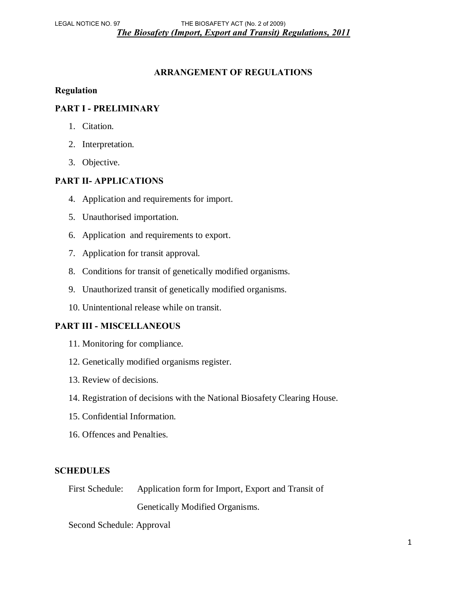#### **ARRANGEMENT OF REGULATIONS**

#### **Regulation**

### **PART I - PRELIMINARY**

- 1. Citation.
- 2. Interpretation.
- 3. Objective.

### **PART II- APPLICATIONS**

- 4. Application and requirements for import.
- 5. Unauthorised importation.
- 6. Application and requirements to export.
- 7. Application for transit approval.
- 8. Conditions for transit of genetically modified organisms.
- 9. Unauthorized transit of genetically modified organisms.
- 10. Unintentional release while on transit.

#### **PART III - MISCELLANEOUS**

- 11. Monitoring for compliance.
- 12. Genetically modified organisms register.
- 13. Review of decisions.
- 14. Registration of decisions with the National Biosafety Clearing House.
- 15. Confidential Information.
- 16. Offences and Penalties.

#### **SCHEDULES**

First Schedule: Application form for Import, Export and Transit of Genetically Modified Organisms.

Second Schedule: Approval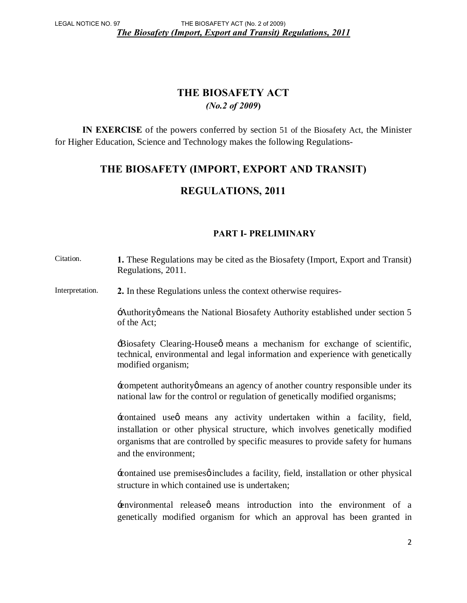# **THE BIOSAFETY ACT**  *(No.2 of 2009***)**

 **IN EXERCISE** of the powers conferred by section 51 of the Biosafety Act, the Minister for Higher Education, Science and Technology makes the following Regulations-

# **THE BIOSAFETY (IMPORT, EXPORT AND TRANSIT)**

# **REGULATIONS, 2011**

## **PART I- PRELIMINARY**

| Citation.       | 1. These Regulations may be cited as the Biosafety (Import, Export and Transit)<br>Regulations, 2011.                                                                                                                                                              |
|-----------------|--------------------------------------------------------------------------------------------------------------------------------------------------------------------------------------------------------------------------------------------------------------------|
| Interpretation. | 2. In these Regulations unless the context otherwise requires-                                                                                                                                                                                                     |
|                 | Authority omeans the National Biosafety Authority established under section 5<br>of the Act;                                                                                                                                                                       |
|                 | Biosafety Clearing-Houseø means a mechanism for exchange of scientific,<br>technical, environmental and legal information and experience with genetically<br>modified organism;                                                                                    |
|                 | competent authority omeans an agency of another country responsible under its<br>national law for the control or regulation of genetically modified organisms;                                                                                                     |
|                 | contained use tmeans any activity undertaken within a facility, field,<br>installation or other physical structure, which involves genetically modified<br>organisms that are controlled by specific measures to provide safety for humans<br>and the environment; |
|                 | Executained use premises of includes a facility, field, installation or other physical<br>structure in which contained use is undertaken;                                                                                                                          |
|                 | environmental released means introduction into the environment of a<br>genetically modified organism for which an approval has been granted in                                                                                                                     |
|                 | $\overline{2}$                                                                                                                                                                                                                                                     |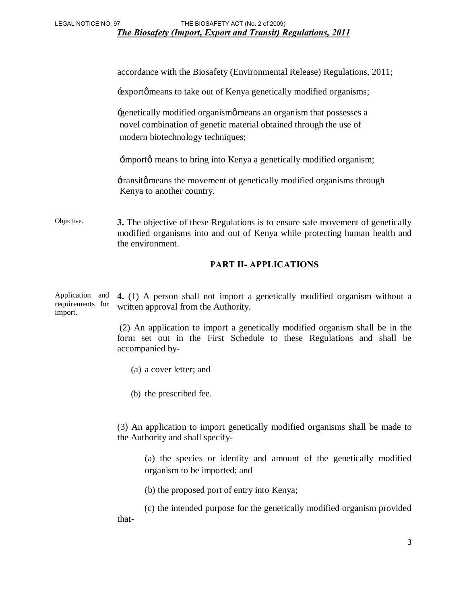accordance with the Biosafety (Environmental Release) Regulations, 2011;

+export omeans to take out of Kenya genetically modified organisms;

'genetically modified organism' means an organism that possesses a novel combination of genetic material obtained through the use of modern biotechnology techniques;

 $\pm$ import $\phi$  means to bring into Kenya a genetically modified organism;

 $\pm$ transitø means the movement of genetically modified organisms through Kenya to another country.

Objective. **3.** The objective of these Regulations is to ensure safe movement of genetically modified organisms into and out of Kenya while protecting human health and the environment.

#### **PART II- APPLICATIONS**

Application and requirements for import. **4.** (1) A person shall not import a genetically modified organism without a written approval from the Authority.

> (2) An application to import a genetically modified organism shall be in the form set out in the First Schedule to these Regulations and shall be accompanied by-

- (a) a cover letter; and
- (b) the prescribed fee.

(3) An application to import genetically modified organisms shall be made to the Authority and shall specify-

(a) the species or identity and amount of the genetically modified organism to be imported; and

(b) the proposed port of entry into Kenya;

 (c) the intended purpose for the genetically modified organism provided that-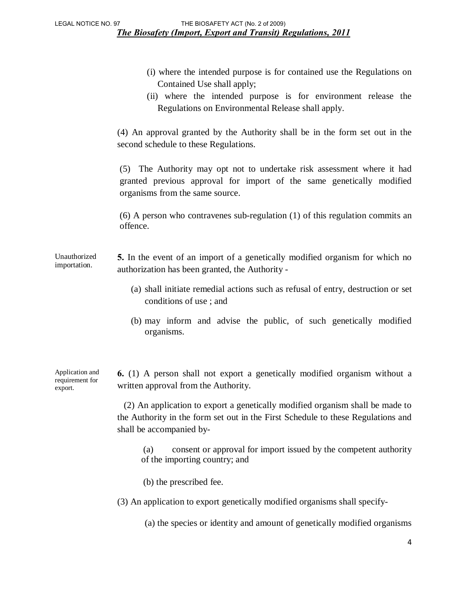- (i) where the intended purpose is for contained use the Regulations on Contained Use shall apply;
- (ii) where the intended purpose is for environment release the Regulations on Environmental Release shall apply.

(4) An approval granted by the Authority shall be in the form set out in the second schedule to these Regulations.

(5) The Authority may opt not to undertake risk assessment where it had granted previous approval for import of the same genetically modified organisms from the same source.

(6) A person who contravenes sub-regulation (1) of this regulation commits an offence.

Unauthorized importation. **5.** In the event of an import of a genetically modified organism for which no authorization has been granted, the Authority -

- (a) shall initiate remedial actions such as refusal of entry, destruction or set conditions of use ; and
- (b) may inform and advise the public, of such genetically modified organisms.

Application and requirement for export.

**6.** (1) A person shall not export a genetically modified organism without a written approval from the Authority.

 (2) An application to export a genetically modified organism shall be made to the Authority in the form set out in the First Schedule to these Regulations and shall be accompanied by-

(a) consent or approval for import issued by the competent authority of the importing country; and

(b) the prescribed fee.

(3) An application to export genetically modified organisms shall specify-

(a) the species or identity and amount of genetically modified organisms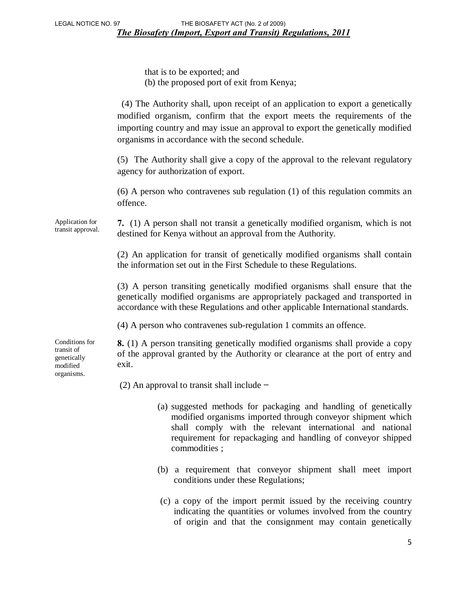that is to be exported; and (b) the proposed port of exit from Kenya;

 (4) The Authority shall, upon receipt of an application to export a genetically modified organism, confirm that the export meets the requirements of the importing country and may issue an approval to export the genetically modified organisms in accordance with the second schedule.

(5) The Authority shall give a copy of the approval to the relevant regulatory agency for authorization of export.

(6) A person who contravenes sub regulation (1) of this regulation commits an offence.

Application for transit approval. **7.** (1) A person shall not transit a genetically modified organism, which is not destined for Kenya without an approval from the Authority.

> (2) An application for transit of genetically modified organisms shall contain the information set out in the First Schedule to these Regulations.

> (3) A person transiting genetically modified organisms shall ensure that the genetically modified organisms are appropriately packaged and transported in accordance with these Regulations and other applicable International standards.

(4) A person who contravenes sub-regulation 1 commits an offence.

**8.** (1) A person transiting genetically modified organisms shall provide a copy of the approval granted by the Authority or clearance at the port of entry and exit.

(2) An approval to transit shall include **−** 

- (a) suggested methods for packaging and handling of genetically modified organisms imported through conveyor shipment which shall comply with the relevant international and national requirement for repackaging and handling of conveyor shipped commodities ;
- (b) a requirement that conveyor shipment shall meet import conditions under these Regulations;
- (c) a copy of the import permit issued by the receiving country indicating the quantities or volumes involved from the country of origin and that the consignment may contain genetically

Conditions for transit of genetically modified organisms.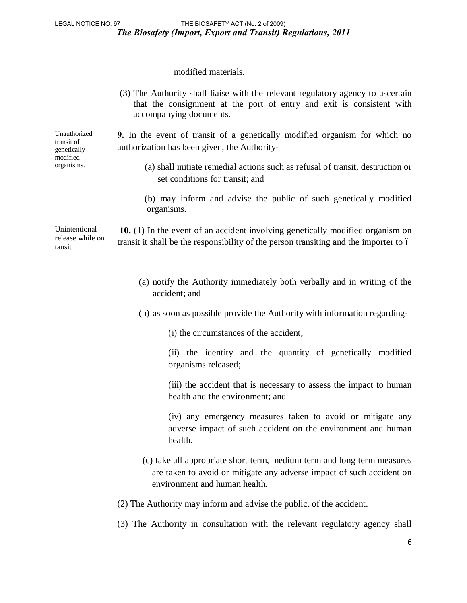modified materials.

|                                             | (3) The Authority shall liaise with the relevant regulatory agency to ascertain<br>that the consignment at the port of entry and exit is consistent with<br>accompanying documents. |
|---------------------------------------------|-------------------------------------------------------------------------------------------------------------------------------------------------------------------------------------|
| Unauthorized<br>transit of<br>genetically   | <b>9.</b> In the event of transit of a genetically modified organism for which no<br>authorization has been given, the Authority-                                                   |
| modified<br>organisms.                      | (a) shall initiate remedial actions such as refusal of transit, destruction or<br>set conditions for transit; and                                                                   |
|                                             | (b) may inform and advise the public of such genetically modified<br>organisms.                                                                                                     |
| Unintentional<br>release while on<br>tansit | 10. (1) In the event of an accident involving genetically modified organism on<br>transit it shall be the responsibility of the person transiting and the importer to 6             |
|                                             | (a) notify the Authority immediately both verbally and in writing of the<br>accident; and                                                                                           |
|                                             | (b) as soon as possible provide the Authority with information regarding-                                                                                                           |
|                                             | (i) the circumstances of the accident;                                                                                                                                              |
|                                             | (ii) the identity and the quantity of genetically modified<br>organisms released;                                                                                                   |
|                                             | (iii) the accident that is necessary to assess the impact to human<br>health and the environment; and                                                                               |
|                                             | (iv) any emergency measures taken to avoid or mitigate any<br>adverse impact of such accident on the environment and human<br>health.                                               |
|                                             | (c) take all appropriate short term, medium term and long term measures<br>are taken to avoid or mitigate any adverse impact of such accident on<br>environment and human health.   |
|                                             | (2) The Authority may inform and advise the public, of the accident.                                                                                                                |
|                                             | (3) The Authority in consultation with the relevant regulatory agency shall                                                                                                         |

6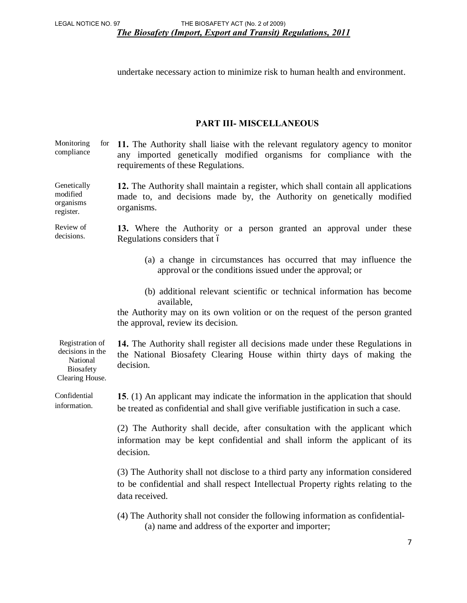undertake necessary action to minimize risk to human health and environment.

### **PART III- MISCELLANEOUS**

Monitoring for compliance **11.** The Authority shall liaise with the relevant regulatory agency to monitor any imported genetically modified organisms for compliance with the requirements of these Regulations.

Genetically modified organisms register. **12.** The Authority shall maintain a register, which shall contain all applications made to, and decisions made by, the Authority on genetically modified organisms.

Review of decisions. **13.** Where the Authority or a person granted an approval under these Regulations considers that 6

- (a) a change in circumstances has occurred that may influence the approval or the conditions issued under the approval; or
- (b) additional relevant scientific or technical information has become available,

the Authority may on its own volition or on the request of the person granted the approval, review its decision.

Registration of decisions in the National **14.** The Authority shall register all decisions made under these Regulations in the National Biosafety Clearing House within thirty days of making the decision.

Confidential information. **15**. (1) An applicant may indicate the information in the application that should be treated as confidential and shall give verifiable justification in such a case.

> (2) The Authority shall decide, after consultation with the applicant which information may be kept confidential and shall inform the applicant of its decision.

> (3) The Authority shall not disclose to a third party any information considered to be confidential and shall respect Intellectual Property rights relating to the data received.

(4) The Authority shall not consider the following information as confidential- (a) name and address of the exporter and importer;

Biosafety Clearing House.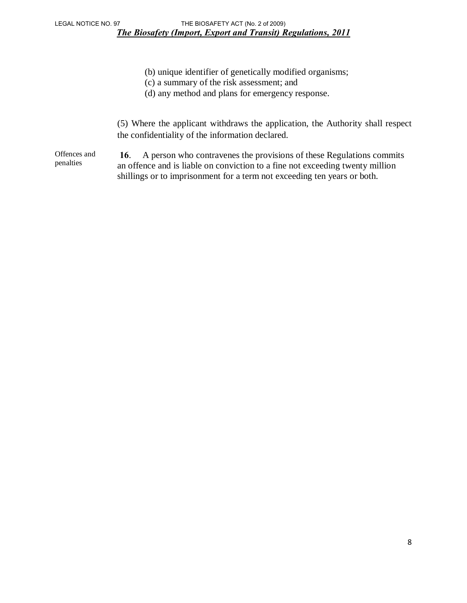- (b) unique identifier of genetically modified organisms;
- (c) a summary of the risk assessment; and
- (d) any method and plans for emergency response.

(5) Where the applicant withdraws the application, the Authority shall respect the confidentiality of the information declared.

Offences and penalties **16**. A person who contravenes the provisions of these Regulations commits an offence and is liable on conviction to a fine not exceeding twenty million shillings or to imprisonment for a term not exceeding ten years or both.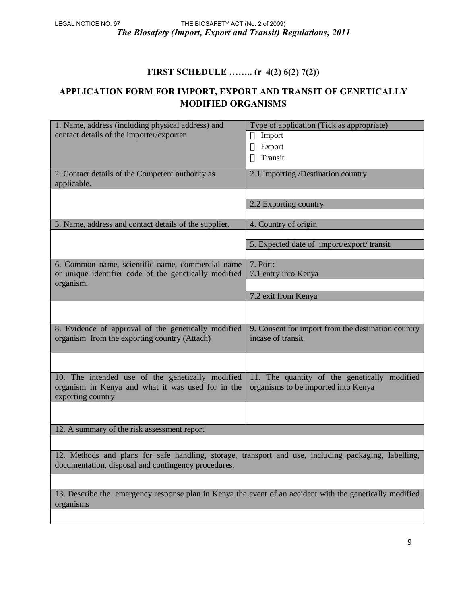## **FIRST SCHEDULE …….. (r 4(2) 6(2) 7(2))**

## **APPLICATION FORM FOR IMPORT, EXPORT AND TRANSIT OF GENETICALLY MODIFIED ORGANISMS**

| 1. Name, address (including physical address) and<br>contact details of the importer/exporter                                                               | Type of application (Tick as appropriate)<br>Import<br>Export<br>Transit            |  |
|-------------------------------------------------------------------------------------------------------------------------------------------------------------|-------------------------------------------------------------------------------------|--|
| 2. Contact details of the Competent authority as<br>applicable.                                                                                             | 2.1 Importing /Destination country                                                  |  |
|                                                                                                                                                             | 2.2 Exporting country                                                               |  |
| 3. Name, address and contact details of the supplier.                                                                                                       | 4. Country of origin                                                                |  |
|                                                                                                                                                             | 5. Expected date of import/export/transit                                           |  |
| 6. Common name, scientific name, commercial name<br>or unique identifier code of the genetically modified<br>organism.                                      | 7. Port:<br>7.1 entry into Kenya                                                    |  |
|                                                                                                                                                             | 7.2 exit from Kenya                                                                 |  |
|                                                                                                                                                             |                                                                                     |  |
| 8. Evidence of approval of the genetically modified<br>organism from the exporting country (Attach)                                                         | 9. Consent for import from the destination country<br>incase of transit.            |  |
|                                                                                                                                                             |                                                                                     |  |
| 10. The intended use of the genetically modified<br>organism in Kenya and what it was used for in the<br>exporting country                                  | 11. The quantity of the genetically modified<br>organisms to be imported into Kenya |  |
|                                                                                                                                                             |                                                                                     |  |
| 12. A summary of the risk assessment report                                                                                                                 |                                                                                     |  |
|                                                                                                                                                             |                                                                                     |  |
| 12. Methods and plans for safe handling, storage, transport and use, including packaging, labelling,<br>documentation, disposal and contingency procedures. |                                                                                     |  |
|                                                                                                                                                             |                                                                                     |  |

13. Describe the emergency response plan in Kenya the event of an accident with the genetically modified organisms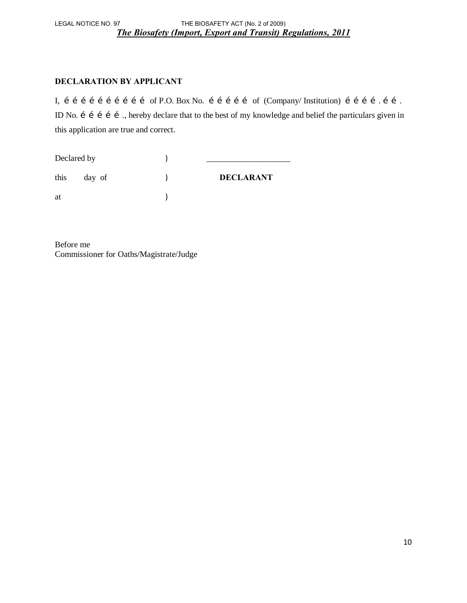*The Biosafety (Import, Export and Transit) Regulations, 2011* LEGAL NOTICE NO. 97 THE BIOSAFETY ACT (No. 2 of 2009)

#### **DECLARATION BY APPLICANT**

I, i i i i i i i i i i of P.O. Box No. i i i i of (Company/ Institution) i i i i .i i . ID No. i i i i i showledge and belief the particulars given in this application are true and correct.

| Declared by |        |                  |
|-------------|--------|------------------|
| this        | day of | <b>DECLARANT</b> |
| at          |        |                  |

Before me Commissioner for Oaths/Magistrate/Judge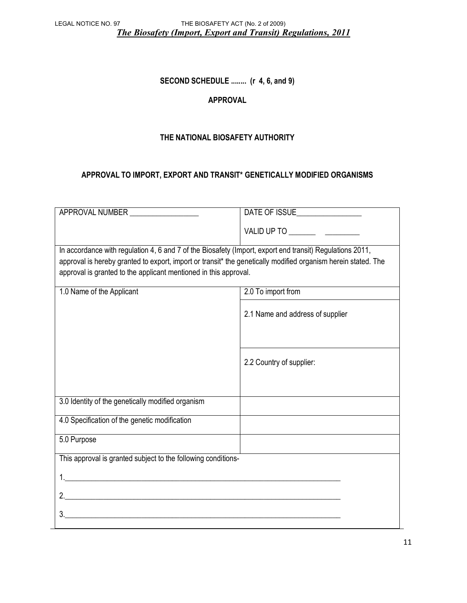*The Biosafety (Import, Export and Transit) Regulations, 2011* LEGAL NOTICE NO. 97 THE BIOSAFETY ACT (No. 2 of 2009)

#### **SECOND SCHEDULE ........ (r 4, 6, and 9)**

#### **APPROVAL**

#### **THE NATIONAL BIOSAFETY AUTHORITY**

#### **APPROVAL TO IMPORT, EXPORT AND TRANSIT\* GENETICALLY MODIFIED ORGANISMS**

| APPROVAL NUMBER                                                                                               | DATE OF ISSUE                    |  |  |  |
|---------------------------------------------------------------------------------------------------------------|----------------------------------|--|--|--|
|                                                                                                               |                                  |  |  |  |
| In accordance with regulation 4, 6 and 7 of the Biosafety (Import, export end transit) Regulations 2011,      |                                  |  |  |  |
| approval is hereby granted to export, import or transit* the genetically modified organism herein stated. The |                                  |  |  |  |
| approval is granted to the applicant mentioned in this approval.                                              |                                  |  |  |  |
| 1.0 Name of the Applicant                                                                                     | 2.0 To import from               |  |  |  |
|                                                                                                               |                                  |  |  |  |
|                                                                                                               | 2.1 Name and address of supplier |  |  |  |
|                                                                                                               |                                  |  |  |  |
|                                                                                                               | 2.2 Country of supplier:         |  |  |  |
|                                                                                                               |                                  |  |  |  |
| 3.0 Identity of the genetically modified organism                                                             |                                  |  |  |  |
| 4.0 Specification of the genetic modification                                                                 |                                  |  |  |  |
| 5.0 Purpose                                                                                                   |                                  |  |  |  |
| This approval is granted subject to the following conditions-                                                 |                                  |  |  |  |
|                                                                                                               |                                  |  |  |  |
|                                                                                                               |                                  |  |  |  |
|                                                                                                               |                                  |  |  |  |